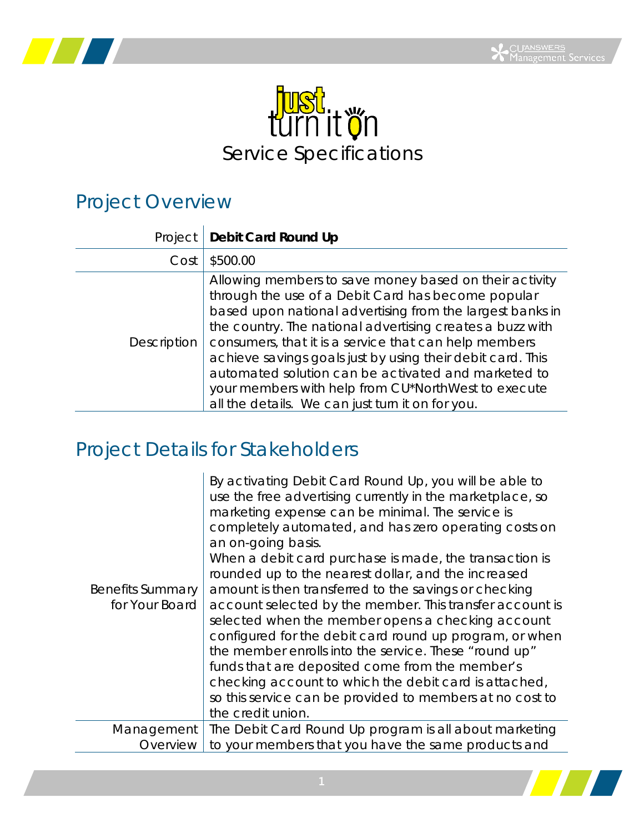



## Project Overview

| Project     | Debit Card Round Up                                                                                                                                                                                                                                                                                                                                                                                                                                                                                                             |
|-------------|---------------------------------------------------------------------------------------------------------------------------------------------------------------------------------------------------------------------------------------------------------------------------------------------------------------------------------------------------------------------------------------------------------------------------------------------------------------------------------------------------------------------------------|
| Cost        | \$500.00                                                                                                                                                                                                                                                                                                                                                                                                                                                                                                                        |
| Description | Allowing members to save money based on their activity<br>through the use of a Debit Card has become popular<br>based upon national advertising from the largest banks in<br>the country. The national advertising creates a buzz with<br>consumers, that it is a service that can help members<br>achieve savings goals just by using their debit card. This<br>automated solution can be activated and marketed to<br>your members with help from CU*NorthWest to execute<br>all the details. We can just turn it on for you. |

## Project Details for Stakeholders

| <b>Benefits Summary</b><br>for Your Board | By activating Debit Card Round Up, you will be able to<br>use the free advertising currently in the marketplace, so<br>marketing expense can be minimal. The service is<br>completely automated, and has zero operating costs on<br>an on-going basis.<br>When a debit card purchase is made, the transaction is<br>rounded up to the nearest dollar, and the increased<br>amount is then transferred to the savings or checking<br>account selected by the member. This transfer account is<br>selected when the member opens a checking account<br>configured for the debit card round up program, or when<br>the member enrolls into the service. These "round up"<br>funds that are deposited come from the member's<br>checking account to which the debit card is attached,<br>so this service can be provided to members at no cost to<br>the credit union. |
|-------------------------------------------|--------------------------------------------------------------------------------------------------------------------------------------------------------------------------------------------------------------------------------------------------------------------------------------------------------------------------------------------------------------------------------------------------------------------------------------------------------------------------------------------------------------------------------------------------------------------------------------------------------------------------------------------------------------------------------------------------------------------------------------------------------------------------------------------------------------------------------------------------------------------|
| Management                                | The Debit Card Round Up program is all about marketing                                                                                                                                                                                                                                                                                                                                                                                                                                                                                                                                                                                                                                                                                                                                                                                                             |
|                                           |                                                                                                                                                                                                                                                                                                                                                                                                                                                                                                                                                                                                                                                                                                                                                                                                                                                                    |
| Overview                                  | to your members that you have the same products and                                                                                                                                                                                                                                                                                                                                                                                                                                                                                                                                                                                                                                                                                                                                                                                                                |

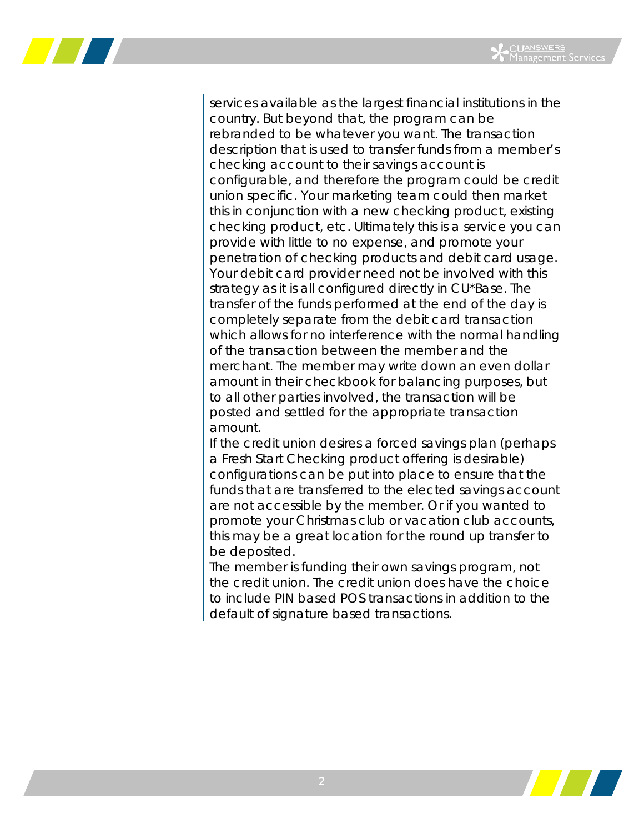

services available as the largest financial institutions in the country. But beyond that, the program can be rebranded to be whatever you want. The transaction description that is used to transfer funds from a member's checking account to their savings account is configurable, and therefore the program could be credit union specific. Your marketing team could then market this in conjunction with a new checking product, existing checking product, etc. Ultimately this is a service you can provide with little to no expense, and promote your penetration of checking products and debit card usage. Your debit card provider need not be involved with this strategy as it is all configured directly in CU\*Base. The transfer of the funds performed at the end of the day is completely separate from the debit card transaction which allows for no interference with the normal handling of the transaction between the member and the merchant. The member may write down an even dollar amount in their checkbook for balancing purposes, but to all other parties involved, the transaction will be posted and settled for the appropriate transaction amount. If the credit union desires a forced savings plan (perhaps

a Fresh Start Checking product offering is desirable) configurations can be put into place to ensure that the funds that are transferred to the elected savings account are not accessible by the member. Or if you wanted to promote your Christmas club or vacation club accounts, this may be a great location for the round up transfer to be deposited.

The member is funding their own savings program, not the credit union. The credit union does have the choice to include PIN based POS transactions in addition to the default of signature based transactions.

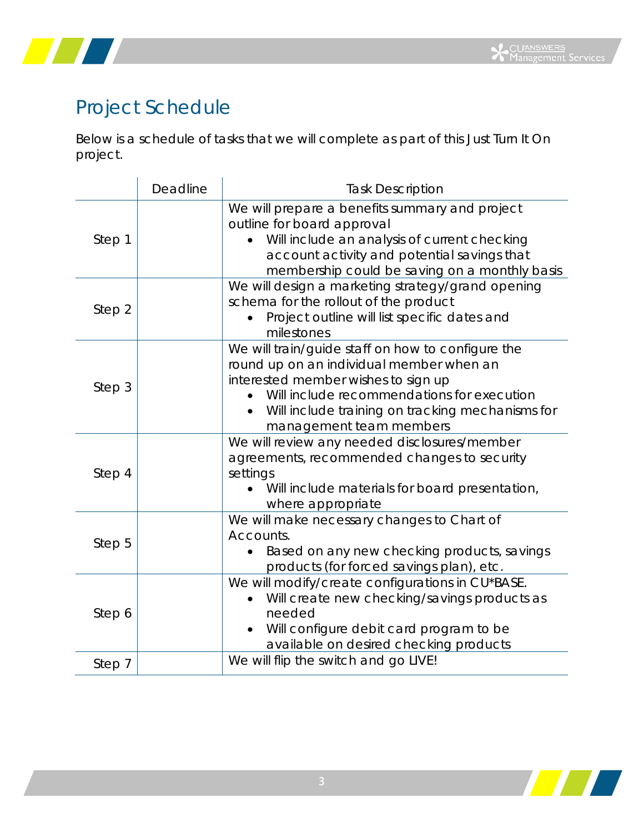



## Project Schedule

Below is a schedule of tasks that we will complete as part of this Just Turn It On project.

|        | Deadline | <b>Task Description</b>                                                                                                                                                                                                                                           |
|--------|----------|-------------------------------------------------------------------------------------------------------------------------------------------------------------------------------------------------------------------------------------------------------------------|
| Step 1 |          | We will prepare a benefits summary and project<br>outline for board approval<br>Will include an analysis of current checking<br>account activity and potential savings that<br>membership could be saving on a monthly basis                                      |
| Step 2 |          | We will design a marketing strategy/grand opening<br>schema for the rollout of the product<br>Project outline will list specific dates and<br>milestones                                                                                                          |
| Step 3 |          | We will train/guide staff on how to configure the<br>round up on an individual member when an<br>interested member wishes to sign up<br>Will include recommendations for execution<br>Will include training on tracking mechanisms for<br>management team members |
| Step 4 |          | We will review any needed disclosures/member<br>agreements, recommended changes to security<br>settings<br>Will include materials for board presentation,<br>where appropriate                                                                                    |
| Step 5 |          | We will make necessary changes to Chart of<br>Accounts.<br>Based on any new checking products, savings<br>products (for forced savings plan), etc.                                                                                                                |
| Step 6 |          | We will modify/create configurations in CU*BASE.<br>Will create new checking/savings products as<br>needed<br>Will configure debit card program to be<br>available on desired checking products                                                                   |
| Step 7 |          | We will flip the switch and go LIVE!                                                                                                                                                                                                                              |